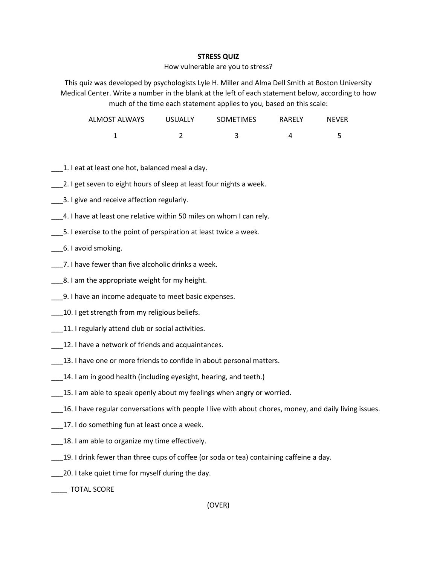## **STRESS QUIZ**

## How vulnerable are you to stress?

This quiz was developed by psychologists Lyle H. Miller and Alma Dell Smith at Boston University Medical Center. Write a number in the blank at the left of each statement below, according to how much of the time each statement applies to you, based on this scale:

| ALMOST ALWAYS | <b>USUALLY</b> | <b>SOMETIMES</b> | RARELY | <b>NEVER</b> |
|---------------|----------------|------------------|--------|--------------|
|               |                |                  |        |              |

- 1. I eat at least one hot, balanced meal a day.
- \_\_\_2. I get seven to eight hours of sleep at least four nights a week.
- \_\_\_3. I give and receive affection regularly.
- \_\_\_4. I have at least one relative within 50 miles on whom I can rely.
- \_\_\_5. I exercise to the point of perspiration at least twice a week.
- \_\_\_6. I avoid smoking.
- \_\_\_7. I have fewer than five alcoholic drinks a week.
- \_\_\_8. I am the appropriate weight for my height.
- \_\_\_9. I have an income adequate to meet basic expenses.
- \_\_\_\_10. I get strength from my religious beliefs.
- 11. I regularly attend club or social activities.
- \_\_\_12. I have a network of friends and acquaintances.
- 13. I have one or more friends to confide in about personal matters.
- 14. I am in good health (including eyesight, hearing, and teeth.)
- \_\_\_15. I am able to speak openly about my feelings when angry or worried.
- \_\_\_16. I have regular conversations with people I live with about chores, money, and daily living issues.
- \_\_\_17. I do something fun at least once a week.
- **18. I am able to organize my time effectively.**
- \_\_\_19. I drink fewer than three cups of coffee (or soda or tea) containing caffeine a day.
- \_\_\_20. I take quiet time for myself during the day.

\_\_\_\_ TOTAL SCORE

(OVER)